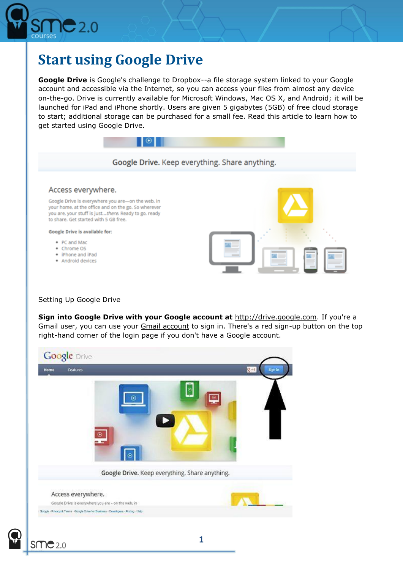

## **Start using Google Drive**

**Google Drive** is Google's challenge to Dropbox--a file storage system linked to your Google account and accessible via the Internet, so you can access your files from almost any device on-the-go. Drive is currently available for Microsoft Windows, Mac OS X, and Android; it will be launched for iPad and iPhone shortly. Users are given 5 gigabytes (5GB) of free cloud storage to start; additional storage can be purchased for a small fee. Read this article to learn how to get started using Google Drive.



## Setting Up Google Drive

**Sign into Google Drive with your Google account at** [http://drive.google.com.](http://drive.google.com/) If you're a Gmail user, you can use your **[Gmail account](http://www.wikihow.com/Create-a-Gmail-Account)** to sign in. There's a red sign-up button on the top right-hand corner of the login page if you don't have a Google account.



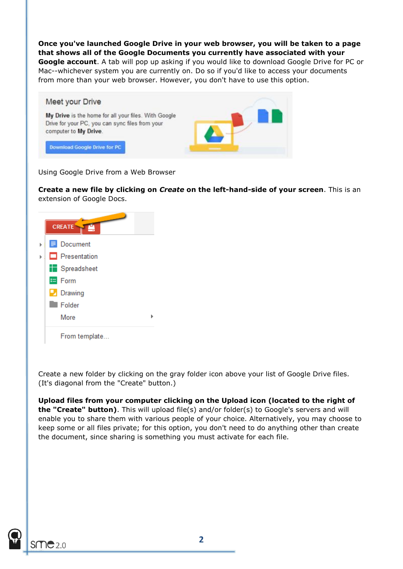**Once you've launched Google Drive in your web browser, you will be taken to a page that shows all of the Google Documents you currently have associated with your** 

**Google account**. A tab will pop up asking if you would like to download Google Drive for PC or Mac--whichever system you are currently on. Do so if you'd like to access your documents from more than your web browser. However, you don't have to use this option.



Using Google Drive from a Web Browser

**Create a new file by clicking on** *Create* **on the left-hand-side of your screen**. This is an extension of Google Docs.

| ë<br><b>CREATE</b> |  |
|--------------------|--|
| Document           |  |
| Presentation       |  |
| Spreadsheet        |  |
| $\equiv$ Form      |  |
| $\Box$ Drawing     |  |
| <b>Folder</b>      |  |
| More               |  |
| From template      |  |

Create a new folder by clicking on the gray folder icon above your list of Google Drive files. (It's diagonal from the "Create" button.)

**Upload files from your computer clicking on the Upload icon (located to the right of the "Create" button)**. This will upload file(s) and/or folder(s) to Google's servers and will enable you to share them with various people of your choice. Alternatively, you may choose to keep some or all files private; for this option, you don't need to do anything other than create the document, since sharing is something you must activate for each file.

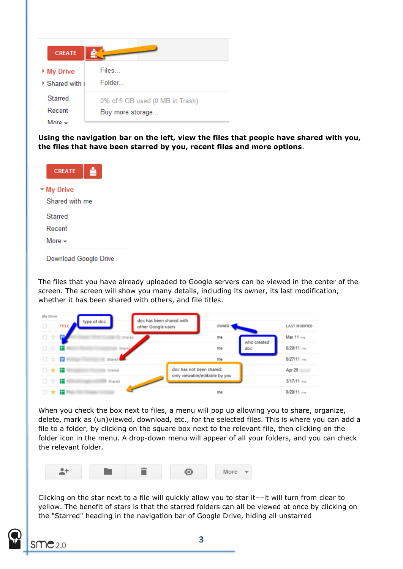| <b>CREATE</b>                                |                                                     |
|----------------------------------------------|-----------------------------------------------------|
| ▶ My Drive<br>$\triangleright$ Shared with i | Files<br>Folder                                     |
| <b>Starred</b><br>Recent<br>More             | 0% of 5 GB used (0 MB in Trash)<br>Buy more storage |

**Using the navigation bar on the left, view the files that people have shared with you, the files that have been starred by you, recent files and more options**.



The files that you have already uploaded to Google servers can be viewed in the center of the screen. The screen will show you many details, including its owner, its last modification, whether it has been shared with others, and file titles.

| My Drive |       |               |                                                |                          |             |                      |
|----------|-------|---------------|------------------------------------------------|--------------------------|-------------|----------------------|
| $\Box$   | TITLE | type of doc   | doc has been shared with<br>other Google users | OWNER                    |             | <b>LAST MODIFIED</b> |
| 口☆       | Г.    | <b>Shared</b> |                                                | me                       | who created | Mar 11 me            |
| 口☆       | æ     | Shared        |                                                | me                       | doc         | 6/20/11 me           |
| □ ☆ ■    |       | Shared        |                                                | me                       |             | $8/27/11$ me         |
| □★■      |       | Shared        |                                                | doc has not been shared: |             | Apr 29               |
| 口☆■      |       | Shared        | only viewable/editable by you                  |                          |             | $3/17/11$ me         |
| □★       | - 11  |               |                                                | me                       |             | $8/20/11$ me         |

When you check the box next to files, a menu will pop up allowing you to share, organize, delete, mark as (un)viewed, download, etc., for the selected files. This is where you can add a file to a folder, by clicking on the square box next to the relevant file, then clicking on the folder icon in the menu. A drop-down menu will appear of all your folders, and you can check the relevant folder.



Clicking on the star next to a file will quickly allow you to star it––it will turn from clear to yellow. The benefit of stars is that the starred folders can all be viewed at once by clicking on the "Starred" heading in the navigation bar of Google Drive, hiding all unstarred

**3**